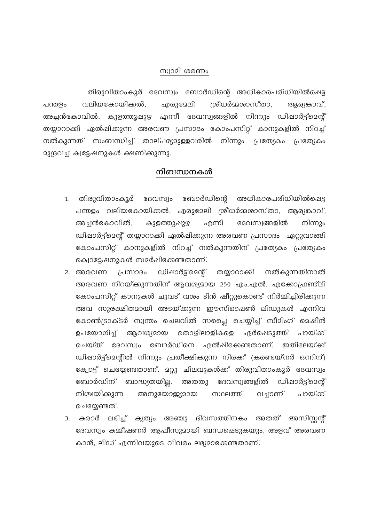## സ്വാമി ശരണം

തിരുവിതാംകൂർ ദേവസ്വം ബോർഡിന്റെ അധികാരപരിധിയിൽപ്പെട്ട എരുദേലി പന്തളം വലിയകോയിക്കൽ, ശ്രീധർമ്മശാസ്താ, ആര്യങ്കാവ്, അച്ചൻകോവിൽ, കുളത്തൂഷുഴ എന്നീ ദേവസ്വങ്ങളിൽ നിന്നും ഡിഷാർട്ട്മെന്റ് തയ്യാറാക്കി ഏൽഷിക്കുന്ന അരവണ പ്രസാദം കോംപസിറ്റ് കാനുകളിൽ നിറച്ച് നൽകുന്നത് സംബന്ധിച്ച് താല്പര്യമുള്ളവരിൽ നിന്നും പ്രത്യേകം പ്രത്യേകം 23(ദവച്ച ക്വട്ടേഷനുകൾ ക്ഷണിക്കുന്നു.

## നിബന്ധനകൾ

- അധികാരപരിധിയിൽപ്പെട്ട ദേവസ്വം ബോർഡിന്റെ 1. തിരുവിതാംകൂർ പന്തളം വലിയകോയിക്കൽ, എരുമേലി ശ്രീധർമ്മശാസ്താ, ആര്യകാവ്, അച്ചൻകോവിൽ, കുളത്തൂപ്പുഴ എന്നീ ദേവസ്വങ്ങളിൽ നിന്നും ഡിഷാർട്ട്മെന്റ് തയ്യാറാക്കി ഏൽഷിക്കുന്ന അരവണ പ്രസാദം ഏറ്റുവാങ്ങി കോംപസിറ്റ് കാനുകളിൽ നിറച്ച് നൽകുന്നതിന് പ്രത്യേകം പ്രത്യേകം ക്വൊട്ടേഷനുകൾ സമർഷിക്കേണ്ടതാണ്.
- 2. അരവണ (പസാദം ഡിഷാർട്ട്മെന്റ് തയ്യാറാക്കി നൽകുന്നതിനാൽ അരവണ നിറയ്ക്കുന്നതിന് ആവശ്യമായ 250 എം.എൽ. എക്കോഫ്രണ്ട്ലി കോംപസിറ്റ് കാനുകൾ ചുവട് വശം ടിൻ ഷീറ്റുകൊണ്ട് നിർമ്മിച്ചിരിക്കുന്ന അവ സുരക്ഷിതമായി അടയ്ക്കുന്ന ഈസിഓഷൺ ലിഡുകൾ എന്നിവ കോൺട്രാക്ടർ സ്വന്തം ചെലവിൽ സപ്പൈ ചെയ്യിച്ച് സീമിംഗ് മെഷീൻ ഉപയോഗിച്ച് ആവശ്യമായ തൊഴിലാളികളെ ഏർപ്പെടുത്തി പായ്ക്ക് ചെയ്ത് ദേവസ്വം ബോർഡിനെ ഏൽപ്പിക്കേണ്ടതാണ്. ഇതിലേയ്ക്ക് ഡിഷാർട്ട്മെന്റിൽ നിന്നും പ്രതീക്ഷിക്കുന്ന നിരക്ക് (കണ്ടെയ്നർ ഒന്നിന്) ക്വോട്ട് ചെയ്യേണ്ടതാണ്. മറ്റു ചിലവുകൾക്ക് തിരുവിതാംകൂർ ദേവസ്വം ബോർഡിന് ബാദ്ധ്യതയില്ല. അതതു ദേവസ്വങ്ങളിൽ ഡിഷാർട്ട്മെന്റ് നിശ്ചയിക്കുന്ന അനുയോജ്യമായ പായ്ക് സ്ഥലത്ത് വച്ചാണ് ചെയ്യേണ്ടത്.
- 3. കരാർ ലഭിച്ച് കൃത്യം അഞ്ചു ദിവസത്തിനകം അതത് അസിസ്ലന്റ് ദേവസ്വം കമ്മീഷണർ ആഫീസുമായി ബന്ധപ്പെടുകയും, അളവ് അരവണ കാൻ, ലിഡ് എന്നിവയുടെ വിവരം ലഭ്യമാക്കേണ്ടതാണ്.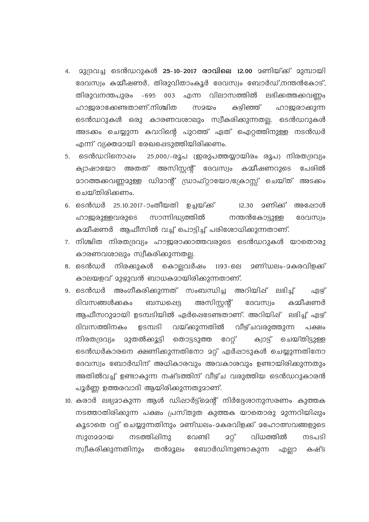- 4. മുദ്രവച്ച ടെൻഡറുകൾ 25-10-2017 രാവിലെ 12.00 മണിയ്ക്ക് മുമ്പായി ദേവസ്വം കമ്മീഷണർ, തിരുവിതാംകൂർ ദേവസ്വം ബോർഡ്,നന്തൻകോട്, തിരുവനന്തപുരം -695 003 എന്ന വിലാസത്തിൽ ലഭിക്കത്തക്കവണം ഹാജരാക്കേണ്ടതാണ്.നിശ്ചിത കഴിഞ്ഞ് സമയം ഹാജരാക്കുന്ന ടെൻഡറുകൾ ഒരു കാരണവശാലും സ്വീകരിക്കുന്നതല്ല. ടെൻഡറുകൾ അടക്കം ചെയ്യുന്ന കവറിന്റെ പുറത്ത് ഏത് ഐറ്റത്തിനുള്ള നടൻഡർ എന്ന് വ്യക്തമായി രേഖപ്പെടുത്തിയിരിക്കണം.
- 5. ടെൻഡറിനൊഷം 25,000/-രൂപ (ഇരുപത്തയ്യായിരം രൂപ) നിരതദ്രവ്യം ക്യാഷായോ അതത് അസിസ്റ്റന്റ് ദേവസ്വം കമ്മീഷണറുടെ പേരിൽ മാറത്തക്കവണ്ണമുള്ള ഡിമാന്റ് ഡ്രാഫ്റ്റായോ/ക്രോസ്സ് ചെയ്ത് അടക്കം ചെയ്തിരിക്കണം.
- 6. ടെൻഡർ 25.10.2017-ാംതീയതി ഉച്ചയ്ക്ക് 12.30 മണിക് അഷോൾ സാന്നിദ്ധ്യത്തിൽ ഹാജരുള്ളവരുടെ നന്തൻകോട്ടുള്ള ദേവസ്വം കമ്മീഷണർ ആഫീസിൽ വച്ച് പൊട്ടിച്ച് പരിശോധിക്കുന്നതാണ്.
- 7. നിശ്ചിത നിരതദ്രവ്യം ഹാജരാക്കാത്തവരുടെ ടെൻഡറുകൾ യാതൊരു കാരണവശാലും സ്വീകരിക്കുന്നതല്ല.
- 8. ടെൻഡർ നിരക്കുകൾ കൊല്ലവർഷം 1193-ലെ മണ്ഡലം-മകരവിളക്ക് കാലയളവ് മുഴുവൻ ബാധകമായിരിക്കുന്നതാണ്.
- 9. ടെൻഡർ അംഗീകരിക്കുന്നത് സംബന്ധിച്ച അറിയിഷ് ലഭിച്ച് ഏഴ് ദിവസങ്ങൾക്കകം ബന്ധഷെട്ട അസിസ്റ്റന്റ് കമ്പീഷണർ ദേവസ്വം ആഫീസറുമായി ഉടമ്പടിയിൽ ഏർഷെടേണ്ടതാണ്. അറിയിഷ് ലഭിച്ച് ഏഴ് ദിവസത്തിനകം ഉടമ്പടി വയ്ക്കുന്നതിൽ വീഴ്ചവരുത്തുന്ന പക്ഷം നിരതദ്രവ്യം മുതൽക്കൂട്ടി തൊട്ടടുത്ത റേറ്റ് ക്വാട് ചെയ്തിട്ടുള്ള ടെൻഡർകാരനെ ക്ഷണിക്കുന്നതിനോ മറ്റ് ഏർഷാടുകൾ ചെയ്യുന്നതിനോ ദേവസ്വം ബോർഡിന് അധികാരവും അവകാശവും ഉണ്ടായിരിക്കുന്നതും അതിൽവച്ച് ഉണ്ടാകുന്ന നഷ്ടത്തിന് വീഴ്ച വരുത്തിയ ടെൻഡറുകാരൻ പൂർണ്ണ ഉത്തരവാദി ആയിരിക്കുന്നതുമാണ്.
- 10. കരാർ ലഭ്യമാകുന്ന ആൾ ഡിഷാർട്ട്മെന്റ് നിർദ്ദേശാനുസരണം കുത്തക നടത്താതിരിക്കുന്ന പക്ഷം പ്രസ്തുത കുത്തക യാതൊരു മുന്നറിയിഷും കൂടാതെ റദ്ദ് ചെയ്യുന്നതിനും മണ്ഡലം-മകരവിളക്ക് മഹോത്സവങ്ങളുടെ സുഗമമായ നടത്തിഷിനു വേണ്ടി 2റ്റ് വിധത്തിൽ നടപടി സ്വീകരിക്കുന്നതിനും തൻമൂലം ബോർഡിനുണ്ടാകുന്ന എല്ലാ കഷ്ട